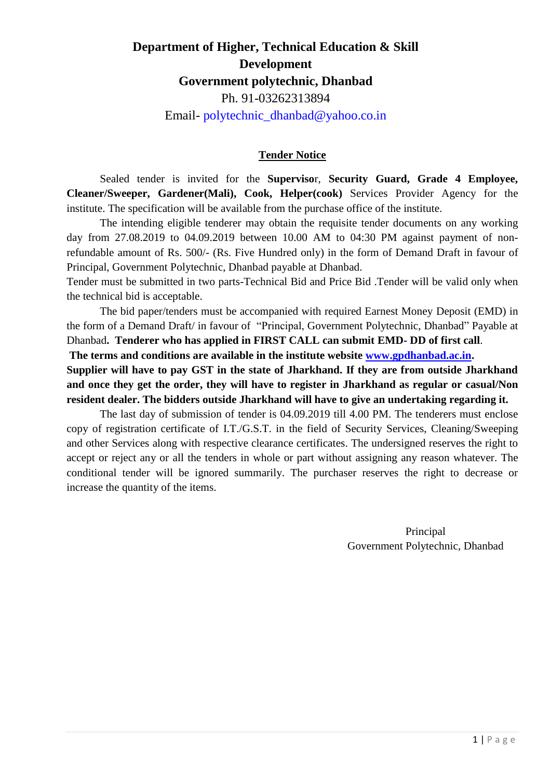# **Department of Higher, Technical Education & Skill Development Government polytechnic, Dhanbad** Ph. 91-03262313894 Email- [polytechnic\\_dhanbad@yahoo.co.in](mailto:polytechnic_dhanbad@yahoo.co.in)

## **Tender Notice**

Sealed tender is invited for the **Superviso**r, **Security Guard, Grade 4 Employee, Cleaner/Sweeper, Gardener(Mali), Cook, Helper(cook)** Services Provider Agency for the institute. The specification will be available from the purchase office of the institute.

The intending eligible tenderer may obtain the requisite tender documents on any working day from 27.08.2019 to 04.09.2019 between 10.00 AM to 04:30 PM against payment of nonrefundable amount of Rs. 500/- (Rs. Five Hundred only) in the form of Demand Draft in favour of Principal, Government Polytechnic, Dhanbad payable at Dhanbad.

Tender must be submitted in two parts-Technical Bid and Price Bid .Tender will be valid only when the technical bid is acceptable.

The bid paper/tenders must be accompanied with required Earnest Money Deposit (EMD) in the form of a Demand Draft/ in favour of "Principal, Government Polytechnic, Dhanbad" Payable at Dhanbad**. Tenderer who has applied in FIRST CALL can submit EMD- DD of first call**.

**The terms and conditions are available in the institute website [www.gpdhanbad.ac.in.](http://www.gpdhanbad.ac.in/)**

**Supplier will have to pay GST in the state of Jharkhand. If they are from outside Jharkhand and once they get the order, they will have to register in Jharkhand as regular or casual/Non resident dealer. The bidders outside Jharkhand will have to give an undertaking regarding it.** 

The last day of submission of tender is 04.09.2019 till 4.00 PM. The tenderers must enclose copy of registration certificate of I.T./G.S.T. in the field of Security Services, Cleaning/Sweeping and other Services along with respective clearance certificates. The undersigned reserves the right to accept or reject any or all the tenders in whole or part without assigning any reason whatever. The conditional tender will be ignored summarily. The purchaser reserves the right to decrease or increase the quantity of the items.

> Principal Government Polytechnic, Dhanbad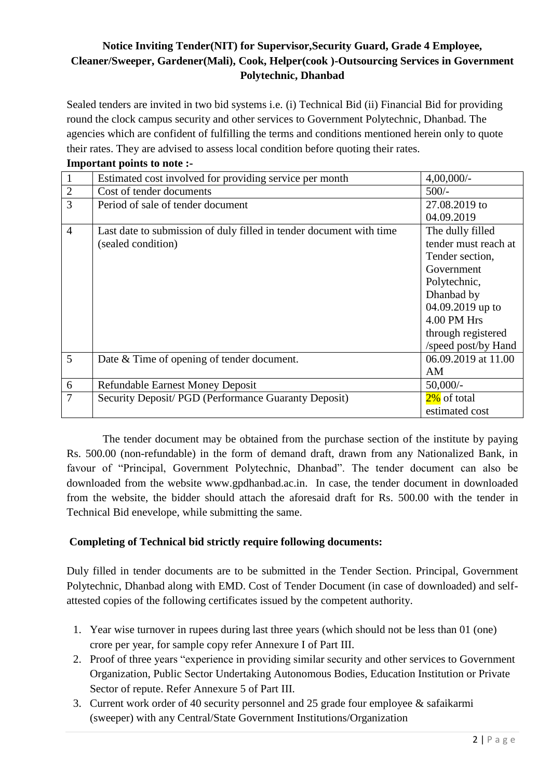## **Notice Inviting Tender(NIT) for Supervisor,Security Guard, Grade 4 Employee, Cleaner/Sweeper, Gardener(Mali), Cook, Helper(cook )-Outsourcing Services in Government Polytechnic, Dhanbad**

Sealed tenders are invited in two bid systems i.e. (i) Technical Bid (ii) Financial Bid for providing round the clock campus security and other services to Government Polytechnic, Dhanbad. The agencies which are confident of fulfilling the terms and conditions mentioned herein only to quote their rates. They are advised to assess local condition before quoting their rates. **Important points to note:** 

| <b>Important points to note.</b> |                                                                     |                      |  |  |  |
|----------------------------------|---------------------------------------------------------------------|----------------------|--|--|--|
| $\mathbf{1}$                     | Estimated cost involved for providing service per month             | $4,00,000/$ -        |  |  |  |
| $\sqrt{2}$                       | Cost of tender documents                                            | $500/-$              |  |  |  |
| $\overline{3}$                   | Period of sale of tender document                                   | 27.08.2019 to        |  |  |  |
|                                  |                                                                     | 04.09.2019           |  |  |  |
| $\overline{4}$                   | Last date to submission of duly filled in tender document with time | The dully filled     |  |  |  |
|                                  | (sealed condition)                                                  | tender must reach at |  |  |  |
|                                  |                                                                     | Tender section,      |  |  |  |
|                                  |                                                                     | Government           |  |  |  |
|                                  |                                                                     | Polytechnic,         |  |  |  |
|                                  |                                                                     | Dhanbad by           |  |  |  |
|                                  |                                                                     | 04.09.2019 up to     |  |  |  |
|                                  |                                                                     | 4.00 PM Hrs          |  |  |  |
|                                  |                                                                     | through registered   |  |  |  |
|                                  |                                                                     | /speed post/by Hand  |  |  |  |
| 5                                | Date & Time of opening of tender document.                          | 06.09.2019 at 11.00  |  |  |  |
|                                  |                                                                     | AM                   |  |  |  |
| $\boldsymbol{6}$                 | <b>Refundable Earnest Money Deposit</b>                             | $50,000/-$           |  |  |  |
| $\overline{7}$                   | Security Deposit/ PGD (Performance Guaranty Deposit)                | 2% of total          |  |  |  |
|                                  |                                                                     | estimated cost       |  |  |  |

The tender document may be obtained from the purchase section of the institute by paying Rs. 500.00 (non-refundable) in the form of demand draft, drawn from any Nationalized Bank, in favour of "Principal, Government Polytechnic, Dhanbad". The tender document can also be downloaded from the website www.gpdhanbad.ac.in. In case, the tender document in downloaded from the website, the bidder should attach the aforesaid draft for Rs. 500.00 with the tender in Technical Bid enevelope, while submitting the same.

## **Completing of Technical bid strictly require following documents:**

Duly filled in tender documents are to be submitted in the Tender Section. Principal, Government Polytechnic, Dhanbad along with EMD. Cost of Tender Document (in case of downloaded) and selfattested copies of the following certificates issued by the competent authority.

- 1. Year wise turnover in rupees during last three years (which should not be less than 01 (one) crore per year, for sample copy refer Annexure I of Part III.
- 2. Proof of three years "experience in providing similar security and other services to Government Organization, Public Sector Undertaking Autonomous Bodies, Education Institution or Private Sector of repute. Refer Annexure 5 of Part III.
- 3. Current work order of 40 security personnel and 25 grade four employee & safaikarmi (sweeper) with any Central/State Government Institutions/Organization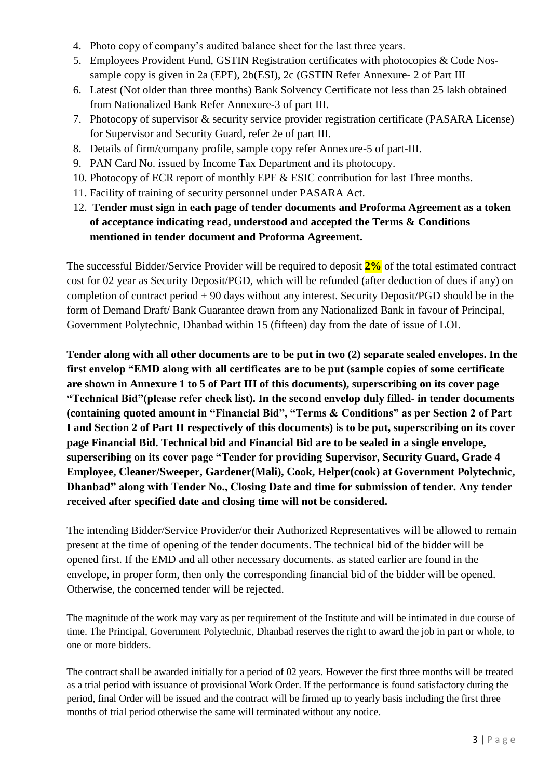- 4. Photo copy of company's audited balance sheet for the last three years.
- 5. Employees Provident Fund, GSTIN Registration certificates with photocopies & Code Nossample copy is given in 2a (EPF), 2b(ESI), 2c (GSTIN Refer Annexure- 2 of Part III
- 6. Latest (Not older than three months) Bank Solvency Certificate not less than 25 lakh obtained from Nationalized Bank Refer Annexure-3 of part III.
- 7. Photocopy of supervisor & security service provider registration certificate (PASARA License) for Supervisor and Security Guard, refer 2e of part III.
- 8. Details of firm/company profile, sample copy refer Annexure-5 of part-III.
- 9. PAN Card No. issued by Income Tax Department and its photocopy.
- 10. Photocopy of ECR report of monthly EPF & ESIC contribution for last Three months.
- 11. Facility of training of security personnel under PASARA Act.
- 12. **Tender must sign in each page of tender documents and Proforma Agreement as a token of acceptance indicating read, understood and accepted the Terms & Conditions mentioned in tender document and Proforma Agreement.**

The successful Bidder/Service Provider will be required to deposit **2%** of the total estimated contract cost for 02 year as Security Deposit/PGD, which will be refunded (after deduction of dues if any) on completion of contract period + 90 days without any interest. Security Deposit/PGD should be in the form of Demand Draft/ Bank Guarantee drawn from any Nationalized Bank in favour of Principal, Government Polytechnic, Dhanbad within 15 (fifteen) day from the date of issue of LOI.

**Tender along with all other documents are to be put in two (2) separate sealed envelopes. In the first envelop "EMD along with all certificates are to be put (sample copies of some certificate are shown in Annexure 1 to 5 of Part III of this documents), superscribing on its cover page "Technical Bid"(please refer check list). In the second envelop duly filled- in tender documents (containing quoted amount in "Financial Bid", "Terms & Conditions" as per Section 2 of Part I and Section 2 of Part II respectively of this documents) is to be put, superscribing on its cover page Financial Bid. Technical bid and Financial Bid are to be sealed in a single envelope, superscribing on its cover page "Tender for providing Supervisor, Security Guard, Grade 4 Employee, Cleaner/Sweeper, Gardener(Mali), Cook, Helper(cook) at Government Polytechnic, Dhanbad" along with Tender No., Closing Date and time for submission of tender. Any tender received after specified date and closing time will not be considered.** 

The intending Bidder/Service Provider/or their Authorized Representatives will be allowed to remain present at the time of opening of the tender documents. The technical bid of the bidder will be opened first. If the EMD and all other necessary documents. as stated earlier are found in the envelope, in proper form, then only the corresponding financial bid of the bidder will be opened. Otherwise, the concerned tender will be rejected.

The magnitude of the work may vary as per requirement of the Institute and will be intimated in due course of time. The Principal, Government Polytechnic, Dhanbad reserves the right to award the job in part or whole, to one or more bidders.

The contract shall be awarded initially for a period of 02 years. However the first three months will be treated as a trial period with issuance of provisional Work Order. If the performance is found satisfactory during the period, final Order will be issued and the contract will be firmed up to yearly basis including the first three months of trial period otherwise the same will terminated without any notice.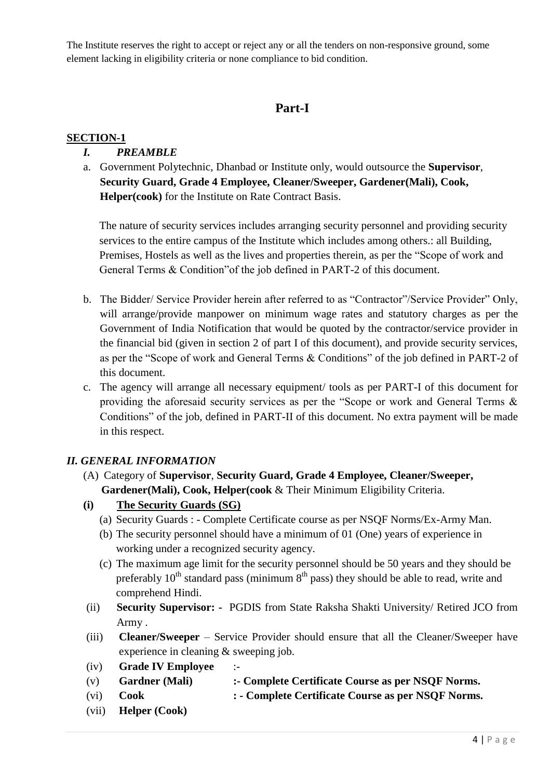The Institute reserves the right to accept or reject any or all the tenders on non-responsive ground, some element lacking in eligibility criteria or none compliance to bid condition.

## **Part-I**

## **SECTION-1**

## *I. PREAMBLE*

a. Government Polytechnic, Dhanbad or Institute only, would outsource the **Supervisor**, **Security Guard, Grade 4 Employee, Cleaner/Sweeper, Gardener(Mali), Cook, Helper(cook)** for the Institute on Rate Contract Basis.

The nature of security services includes arranging security personnel and providing security services to the entire campus of the Institute which includes among others.: all Building, Premises, Hostels as well as the lives and properties therein, as per the "Scope of work and General Terms & Condition"of the job defined in PART-2 of this document.

- b. The Bidder/ Service Provider herein after referred to as "Contractor"/Service Provider" Only, will arrange/provide manpower on minimum wage rates and statutory charges as per the Government of India Notification that would be quoted by the contractor/service provider in the financial bid (given in section 2 of part I of this document), and provide security services, as per the "Scope of work and General Terms & Conditions" of the job defined in PART-2 of this document.
- c. The agency will arrange all necessary equipment/ tools as per PART-I of this document for providing the aforesaid security services as per the "Scope or work and General Terms & Conditions" of the job, defined in PART-II of this document. No extra payment will be made in this respect.

## *II. GENERAL INFORMATION*

- (A) Category of **Supervisor**, **Security Guard, Grade 4 Employee, Cleaner/Sweeper, Gardener(Mali), Cook, Helper(cook** & Their Minimum Eligibility Criteria.
- **(i) The Security Guards (SG)**
	- (a) Security Guards : Complete Certificate course as per NSQF Norms/Ex-Army Man.
	- (b) The security personnel should have a minimum of 01 (One) years of experience in working under a recognized security agency.
	- (c) The maximum age limit for the security personnel should be 50 years and they should be preferably  $10^{th}$  standard pass (minimum  $8^{th}$  pass) they should be able to read, write and comprehend Hindi.
- (ii) **Security Supervisor: -** PGDIS from State Raksha Shakti University/ Retired JCO from Army .
- (iii) **Cleaner/Sweeper** Service Provider should ensure that all the Cleaner/Sweeper have experience in cleaning & sweeping job.
- (iv) **Grade IV Employee** :-
- (v) **Gardner (Mali) :- Complete Certificate Course as per NSQF Norms.**
- (vi) **Cook : - Complete Certificate Course as per NSQF Norms.**
- (vii) **Helper (Cook)**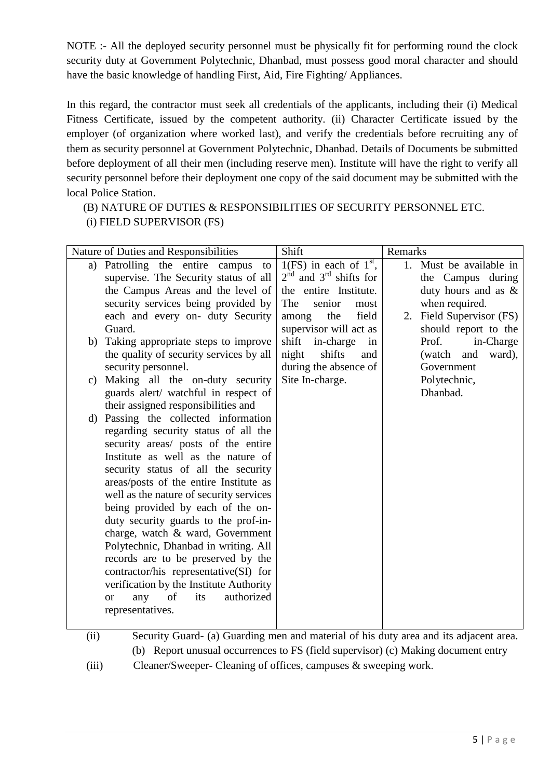NOTE :- All the deployed security personnel must be physically fit for performing round the clock security duty at Government Polytechnic, Dhanbad, must possess good moral character and should have the basic knowledge of handling First, Aid, Fire Fighting/ Appliances.

In this regard, the contractor must seek all credentials of the applicants, including their (i) Medical Fitness Certificate, issued by the competent authority. (ii) Character Certificate issued by the employer (of organization where worked last), and verify the credentials before recruiting any of them as security personnel at Government Polytechnic, Dhanbad. Details of Documents be submitted before deployment of all their men (including reserve men). Institute will have the right to verify all security personnel before their deployment one copy of the said document may be submitted with the local Police Station.

(B) NATURE OF DUTIES & RESPONSIBILITIES OF SECURITY PERSONNEL ETC. (i) FIELD SUPERVISOR (FS)

|               | Nature of Duties and Responsibilities       | Shift                      | Remarks                     |
|---------------|---------------------------------------------|----------------------------|-----------------------------|
| a)            | Patrolling the entire campus<br>to          | $1(FS)$ in each of $1st$ , | 1. Must be available in     |
|               | supervise. The Security status of all       | $2nd$ and $3rd$ shifts for | the Campus during           |
|               | the Campus Areas and the level of           | the entire Institute.      | duty hours and as &         |
|               | security services being provided by         | senior<br>The<br>most      | when required.              |
|               | each and every on- duty Security            | the<br>field<br>among      | Field Supervisor (FS)<br>2. |
|               | Guard.                                      | supervisor will act as     | should report to the        |
| b)            | Taking appropriate steps to improve         | shift<br>in-charge<br>in   | Prof.<br>in-Charge          |
|               | the quality of security services by all     | shifts<br>night<br>and     | and<br>ward),<br>(watch     |
|               | security personnel.                         | during the absence of      | Government                  |
| $\mathbf{c})$ | Making all the on-duty security             | Site In-charge.            | Polytechnic,                |
|               | guards alert/ watchful in respect of        |                            | Dhanbad.                    |
|               | their assigned responsibilities and         |                            |                             |
|               | d) Passing the collected information        |                            |                             |
|               | regarding security status of all the        |                            |                             |
|               | security areas/ posts of the entire         |                            |                             |
|               | Institute as well as the nature of          |                            |                             |
|               | security status of all the security         |                            |                             |
|               | areas/posts of the entire Institute as      |                            |                             |
|               | well as the nature of security services     |                            |                             |
|               | being provided by each of the on-           |                            |                             |
|               | duty security guards to the prof-in-        |                            |                             |
|               | charge, watch & ward, Government            |                            |                             |
|               | Polytechnic, Dhanbad in writing. All        |                            |                             |
|               | records are to be preserved by the          |                            |                             |
|               | contractor/his representative(SI) for       |                            |                             |
|               | verification by the Institute Authority     |                            |                             |
|               | of<br>authorized<br>its<br>any<br><b>or</b> |                            |                             |
|               | representatives.                            |                            |                             |
|               |                                             |                            |                             |

(ii) Security Guard- (a) Guarding men and material of his duty area and its adjacent area. (b) Report unusual occurrences to FS (field supervisor) (c) Making document entry (iii) Cleaner/Sweeper- Cleaning of offices, campuses & sweeping work.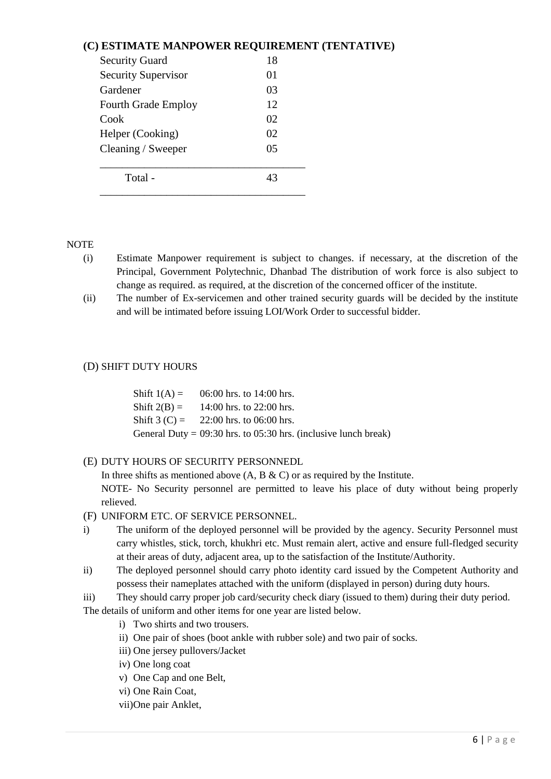## **(C) ESTIMATE MANPOWER REQUIREMENT (TENTATIVE)**

| <b>Security Guard</b>      | 18 |
|----------------------------|----|
| <b>Security Supervisor</b> | 01 |
| Gardener                   | 03 |
| <b>Fourth Grade Employ</b> | 12 |
| Cook                       | 02 |
| Helper (Cooking)           | 02 |
| Cleaning / Sweeper         | 05 |
|                            |    |
| Total -                    | 43 |
|                            |    |

#### **NOTE**

- (i) Estimate Manpower requirement is subject to changes. if necessary, at the discretion of the Principal, Government Polytechnic, Dhanbad The distribution of work force is also subject to change as required. as required, at the discretion of the concerned officer of the institute.
- (ii) The number of Ex-servicemen and other trained security guards will be decided by the institute and will be intimated before issuing LOI/Work Order to successful bidder.

#### (D) SHIFT DUTY HOURS

| Shift $1(A) = 06:00$ hrs. to 14:00 hrs.                             |
|---------------------------------------------------------------------|
| Shift $2(B) = 14:00$ hrs. to 22:00 hrs.                             |
| Shift $3(C) = 22:00$ hrs. to 06:00 hrs.                             |
| General Duty = $09:30$ hrs. to $05:30$ hrs. (inclusive lunch break) |

#### (E) DUTY HOURS OF SECURITY PERSONNEDL

In three shifts as mentioned above  $(A, B \& C)$  or as required by the Institute.

NOTE- No Security personnel are permitted to leave his place of duty without being properly relieved.

- (F) UNIFORM ETC. OF SERVICE PERSONNEL.
- i) The uniform of the deployed personnel will be provided by the agency. Security Personnel must carry whistles, stick, torch, khukhri etc. Must remain alert, active and ensure full-fledged security at their areas of duty, adjacent area, up to the satisfaction of the Institute/Authority.
- ii) The deployed personnel should carry photo identity card issued by the Competent Authority and possess their nameplates attached with the uniform (displayed in person) during duty hours.
- iii) They should carry proper job card/security check diary (issued to them) during their duty period.

The details of uniform and other items for one year are listed below.

- i) Two shirts and two trousers.
- ii) One pair of shoes (boot ankle with rubber sole) and two pair of socks.
- iii) One jersey pullovers/Jacket
- iv) One long coat
- v) One Cap and one Belt,
- vi) One Rain Coat,
- vii)One pair Anklet,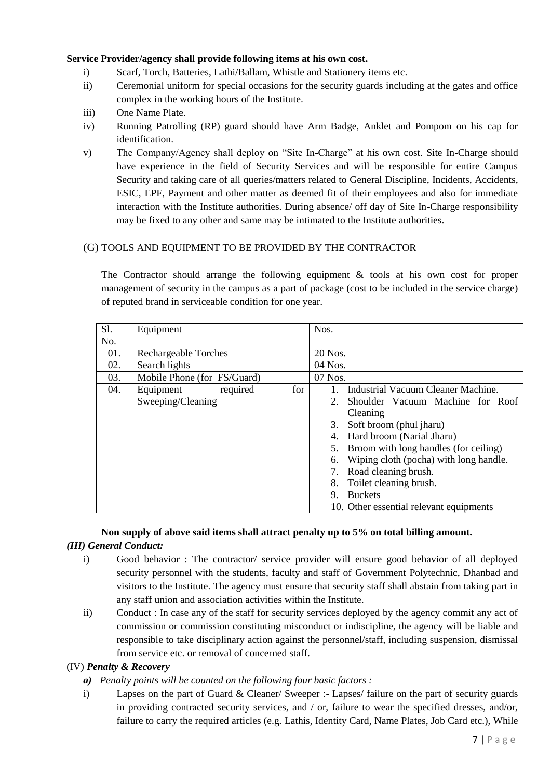#### **Service Provider/agency shall provide following items at his own cost.**

- i) Scarf, Torch, Batteries, Lathi/Ballam, Whistle and Stationery items etc.
- ii) Ceremonial uniform for special occasions for the security guards including at the gates and office complex in the working hours of the Institute.
- iii) One Name Plate.
- iv) Running Patrolling (RP) guard should have Arm Badge, Anklet and Pompom on his cap for identification.
- v) The Company/Agency shall deploy on "Site In-Charge" at his own cost. Site In-Charge should have experience in the field of Security Services and will be responsible for entire Campus Security and taking care of all queries/matters related to General Discipline, Incidents, Accidents, ESIC, EPF, Payment and other matter as deemed fit of their employees and also for immediate interaction with the Institute authorities. During absence/ off day of Site In-Charge responsibility may be fixed to any other and same may be intimated to the Institute authorities.

#### (G) TOOLS AND EQUIPMENT TO BE PROVIDED BY THE CONTRACTOR

The Contractor should arrange the following equipment & tools at his own cost for proper management of security in the campus as a part of package (cost to be included in the service charge) of reputed brand in serviceable condition for one year.

| Sl. | Equipment                                         | Nos.                                                                                                                                                                                                                                                                                                                                                                                |  |  |  |
|-----|---------------------------------------------------|-------------------------------------------------------------------------------------------------------------------------------------------------------------------------------------------------------------------------------------------------------------------------------------------------------------------------------------------------------------------------------------|--|--|--|
| No. |                                                   |                                                                                                                                                                                                                                                                                                                                                                                     |  |  |  |
| 01. | <b>Rechargeable Torches</b>                       | 20 Nos.                                                                                                                                                                                                                                                                                                                                                                             |  |  |  |
| 02. | Search lights                                     | 04 Nos.                                                                                                                                                                                                                                                                                                                                                                             |  |  |  |
| 03. | Mobile Phone (for FS/Guard)                       | 07 Nos.                                                                                                                                                                                                                                                                                                                                                                             |  |  |  |
| 04. | for<br>required<br>Equipment<br>Sweeping/Cleaning | Industrial Vacuum Cleaner Machine.<br>Shoulder Vacuum Machine for Roof<br>2.<br>Cleaning<br>Soft broom (phul jharu)<br>3.<br>Hard broom (Narial Jharu)<br>4.<br>5. Broom with long handles (for ceiling)<br>Wiping cloth (pocha) with long handle.<br>6.<br>Road cleaning brush.<br>Toilet cleaning brush.<br>8.<br><b>Buckets</b><br>9.<br>10. Other essential relevant equipments |  |  |  |

#### **Non supply of above said items shall attract penalty up to 5% on total billing amount.**  *(III) General Conduct:*

- i) Good behavior : The contractor/ service provider will ensure good behavior of all deployed security personnel with the students, faculty and staff of Government Polytechnic, Dhanbad and visitors to the Institute. The agency must ensure that security staff shall abstain from taking part in any staff union and association activities within the Institute.
- ii) Conduct : In case any of the staff for security services deployed by the agency commit any act of commission or commission constituting misconduct or indiscipline, the agency will be liable and responsible to take disciplinary action against the personnel/staff, including suspension, dismissal from service etc. or removal of concerned staff.

#### (IV) *Penalty & Recovery*

- *a) Penalty points will be counted on the following four basic factors :*
- i) Lapses on the part of Guard & Cleaner/ Sweeper :- Lapses/ failure on the part of security guards in providing contracted security services, and / or, failure to wear the specified dresses, and/or, failure to carry the required articles (e.g. Lathis, Identity Card, Name Plates, Job Card etc.), While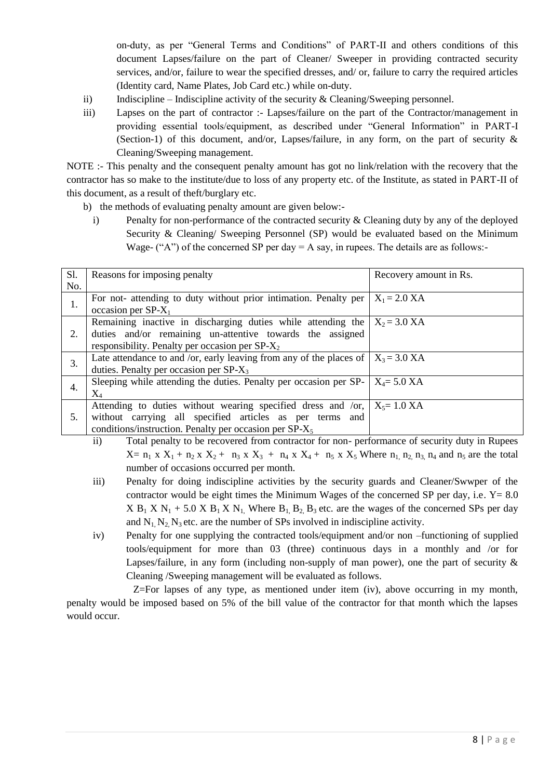on-duty, as per "General Terms and Conditions" of PART-II and others conditions of this document Lapses/failure on the part of Cleaner/ Sweeper in providing contracted security services, and/or, failure to wear the specified dresses, and/ or, failure to carry the required articles (Identity card, Name Plates, Job Card etc.) while on-duty.

- ii) Indiscipline Indiscipline activity of the security & Cleaning/Sweeping personnel.
- iii) Lapses on the part of contractor :- Lapses/failure on the part of the Contractor/management in providing essential tools/equipment, as described under "General Information" in PART-I (Section-1) of this document, and/or, Lapses/failure, in any form, on the part of security & Cleaning/Sweeping management.

NOTE :- This penalty and the consequent penalty amount has got no link/relation with the recovery that the contractor has so make to the institute/due to loss of any property etc. of the Institute, as stated in PART-II of this document, as a result of theft/burglary etc.

- b) the methods of evaluating penalty amount are given below:
	- i) Penalty for non-performance of the contracted security  $\&$  Cleaning duty by any of the deployed Security & Cleaning/ Sweeping Personnel (SP) would be evaluated based on the Minimum Wage- ("A") of the concerned SP per day  $= A$  say, in rupees. The details are as follows:-

| <b>S1.</b> | Reasons for imposing penalty                                                                                                                                                                        | Recovery amount in Rs. |
|------------|-----------------------------------------------------------------------------------------------------------------------------------------------------------------------------------------------------|------------------------|
| No.        |                                                                                                                                                                                                     |                        |
| 1.         | For not- attending to duty without prior intimation. Penalty per<br>occasion per $SP-X_1$                                                                                                           | $X_1 = 2.0 XA$         |
| 2.         | Remaining inactive in discharging duties while attending the $X_2 = 3.0$ XA<br>duties and/or remaining un-attentive towards the assigned<br>responsibility. Penalty per occasion per $SP-X_2$       |                        |
| 3.         | Late attendance to and /or, early leaving from any of the places of $X_3 = 3.0$ XA<br>duties. Penalty per occasion per $SP-X_3$                                                                     |                        |
| 4.         | Sleeping while attending the duties. Penalty per occasion per SP- $\vert X_4 = 5.0$ XA<br>$\rm X_4$                                                                                                 |                        |
| 5.         | Attending to duties without wearing specified dress and /or, $X_5 = 1.0 XA$<br>without carrying all specified articles as per terms and<br>conditions/instruction. Penalty per occasion per $SP-X5$ |                        |

- ii) Total penalty to be recovered from contractor for non- performance of security duty in Rupees  $X=$  n<sub>1</sub> x  $X_1$  + n<sub>2</sub> x  $X_2$  + n<sub>3</sub> x  $X_3$  + n<sub>4</sub> x  $X_4$  + n<sub>5</sub> x  $X_5$  Where n<sub>1</sub> n<sub>2</sub> n<sub>3</sub> n<sub>4</sub> and n<sub>5</sub> are the total number of occasions occurred per month.
- iii) Penalty for doing indiscipline activities by the security guards and Cleaner/Swwper of the contractor would be eight times the Minimum Wages of the concerned SP per day, i.e.  $Y = 8.0$  $X B_1 X N_1 + 5.0 X B_1 X N_1$ . Where  $B_1 B_2 B_3$  etc. are the wages of the concerned SPs per day and  $N_1$ ,  $N_2$ ,  $N_3$  etc. are the number of SPs involved in indiscipline activity.
- iv) Penalty for one supplying the contracted tools/equipment and/or non –functioning of supplied tools/equipment for more than 03 (three) continuous days in a monthly and /or for Lapses/failure, in any form (including non-supply of man power), one the part of security  $\&$ Cleaning /Sweeping management will be evaluated as follows.

Z=For lapses of any type, as mentioned under item (iv), above occurring in my month, penalty would be imposed based on 5% of the bill value of the contractor for that month which the lapses would occur.